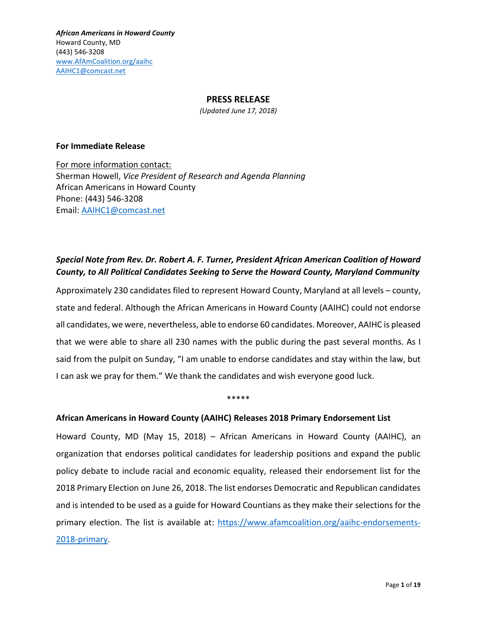## **PRESS RELEASE**

*(Updated June 17, 2018)*

#### **For Immediate Release**

For more information contact: Sherman Howell, *Vice President of Research and Agenda Planning* African Americans in Howard County Phone: (443) 546-3208 Email: [AAIHC1@comcast.net](mailto:AAIHC1@comcast.net)

# *Special Note from Rev. Dr. Robert A. F. Turner, President African American Coalition of Howard County, to All Political Candidates Seeking to Serve the Howard County, Maryland Community*

Approximately 230 candidates filed to represent Howard County, Maryland at all levels – county, state and federal. Although the African Americans in Howard County (AAIHC) could not endorse all candidates, we were, nevertheless, able to endorse 60 candidates. Moreover, AAIHC is pleased that we were able to share all 230 names with the public during the past several months. As I said from the pulpit on Sunday, "I am unable to endorse candidates and stay within the law, but I can ask we pray for them." We thank the candidates and wish everyone good luck.

#### \*\*\*\*\*

## **African Americans in Howard County (AAIHC) Releases 2018 Primary Endorsement List**

Howard County, MD (May 15, 2018) – African Americans in Howard County (AAIHC), an organization that endorses political candidates for leadership positions and expand the public policy debate to include racial and economic equality, released their endorsement list for the 2018 Primary Election on June 26, 2018. The list endorses Democratic and Republican candidates and is intended to be used as a guide for Howard Countians as they make their selections for the primary election. The list is available at: [https://www.afamcoalition.org/aaihc-endorsements-](https://www.afamcoalition.org/aaihc-endorsements-2018-primary)[2018-primary.](https://www.afamcoalition.org/aaihc-endorsements-2018-primary)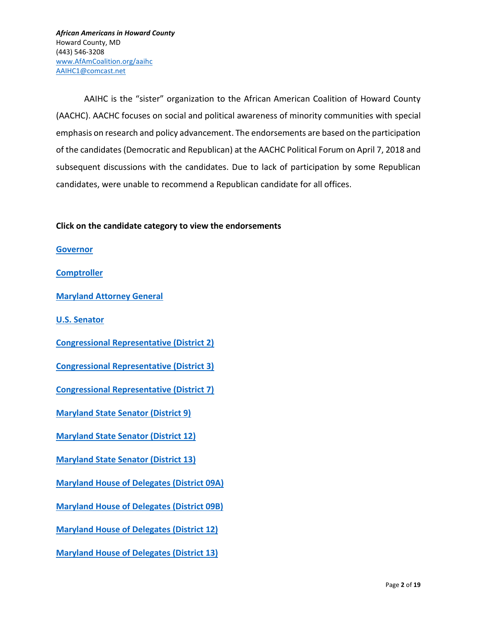AAIHC is the "sister" organization to the African American Coalition of Howard County (AACHC). AACHC focuses on social and political awareness of minority communities with special emphasis on research and policy advancement. The endorsements are based on the participation of the candidates (Democratic and Republican) at the AACHC Political Forum on April 7, 2018 and subsequent discussions with the candidates. Due to lack of participation by some Republican candidates, were unable to recommend a Republican candidate for all offices.

## **Click on the candidate category to view the endorsements**

**[Governor](#page-3-0)**

**[Comptroller](#page-4-0)**

**[Maryland Attorney General](#page-4-1)**

**[U.S. Senator](#page-5-0)**

**[Congressional Representative \(District 2\)](#page-5-1)**

**[Congressional Representative \(District 3\)](#page-6-0)**

**[Congressional Representative \(District 7\)](#page-6-1)**

**[Maryland State Senator \(District 9\)](#page-7-0)**

**[Maryland State Senator \(District 12\)](#page-7-1)**

**[Maryland State Senator \(District 13\)](#page-7-2)**

**[Maryland House of Delegates](#page-8-0) (District 09A)**

**[Maryland House of Delegates](#page-8-1) (District 09B)**

**[Maryland House of Delegates](#page-8-2) (District 12)**

**[Maryland House of Delegates](#page-10-0) (District 13)**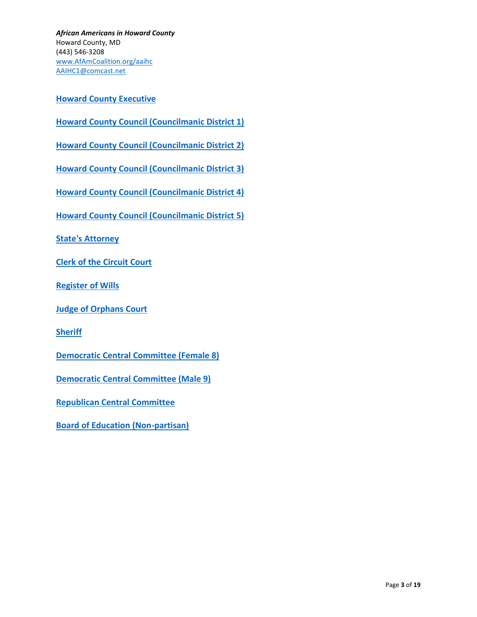**[Howard County Executive](#page-10-1)**

**[Howard County Council \(Councilmanic District 1\)](#page-11-0)**

**[Howard County Council \(Councilmanic District 2\)](#page-11-1)**

**[Howard County Council \(Councilmanic District 3\)](#page-12-0)**

**[Howard County Council \(Councilmanic District 4\)](#page-12-1)**

**[Howard County Council \(Councilmanic District 5\)](#page-13-0)**

**[State's Attorney](#page-13-1)**

**[Clerk of the Circuit Court](#page-14-0)**

**[Register of Wills](#page-14-1)**

**[Judge of Orphans Court](#page-14-2)**

**[Sheriff](#page-15-0)**

**[Democratic Central Committee \(Female 8\)](#page-15-1)**

**[Democratic Central Committee \(Male 9\)](#page-16-0)**

**[Republican Central Committee](#page-17-0)**

**[Board of Education \(Non-partisan\)](#page-17-1)**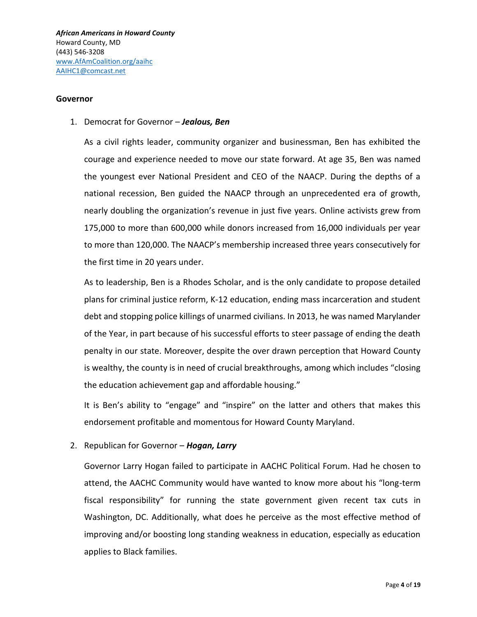#### <span id="page-3-0"></span>**Governor**

#### 1. Democrat for Governor – *Jealous, Ben*

As a civil rights leader, community organizer and businessman, Ben has exhibited the courage and experience needed to move our state forward. At age 35, Ben was named the youngest ever National President and CEO of the NAACP. During the depths of a national recession, Ben guided the NAACP through an unprecedented era of growth, nearly doubling the organization's revenue in just five years. Online activists grew from 175,000 to more than 600,000 while donors increased from 16,000 individuals per year to more than 120,000. The NAACP's membership increased three years consecutively for the first time in 20 years under.

As to leadership, Ben is a Rhodes Scholar, and is the only candidate to propose detailed plans for criminal justice reform, K-12 education, ending mass incarceration and student debt and stopping police killings of unarmed civilians. In 2013, he was named Marylander of the Year, in part because of his successful efforts to steer passage of ending the death penalty in our state. Moreover, despite the over drawn perception that Howard County is wealthy, the county is in need of crucial breakthroughs, among which includes "closing the education achievement gap and affordable housing."

It is Ben's ability to "engage" and "inspire" on the latter and others that makes this endorsement profitable and momentous for Howard County Maryland.

## 2. Republican for Governor – *Hogan, Larry*

Governor Larry Hogan failed to participate in AACHC Political Forum. Had he chosen to attend, the AACHC Community would have wanted to know more about his "long-term fiscal responsibility" for running the state government given recent tax cuts in Washington, DC. Additionally, what does he perceive as the most effective method of improving and/or boosting long standing weakness in education, especially as education applies to Black families.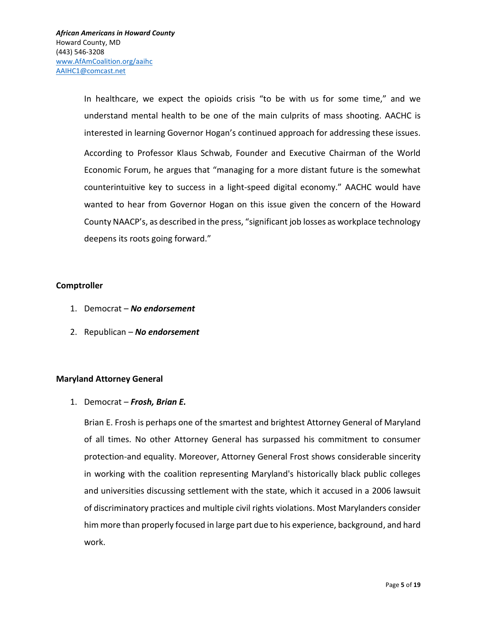In healthcare, we expect the opioids crisis "to be with us for some time," and we understand mental health to be one of the main culprits of mass shooting. AACHC is interested in learning Governor Hogan's continued approach for addressing these issues. According to Professor Klaus Schwab, Founder and Executive Chairman of the World Economic Forum, he argues that "managing for a more distant future is the somewhat counterintuitive key to success in a light-speed digital economy." AACHC would have wanted to hear from Governor Hogan on this issue given the concern of the Howard County NAACP's, as described in the press, "significant job losses as workplace technology deepens its roots going forward."

## <span id="page-4-0"></span>**Comptroller**

- 1. Democrat *No endorsement*
- 2. Republican *No endorsement*

## <span id="page-4-1"></span>**Maryland Attorney General**

1. Democrat – *Frosh, Brian E.*

Brian E. Frosh is perhaps one of the smartest and brightest Attorney General of Maryland of all times. No other Attorney General has surpassed his commitment to consumer protection-and equality. Moreover, Attorney General Frost shows considerable sincerity in working with the coalition representing Maryland's historically black public colleges and universities discussing settlement with the state, which it accused in a 2006 lawsuit of discriminatory practices and multiple civil rights violations. Most Marylanders consider him more than properly focused in large part due to his experience, background, and hard work.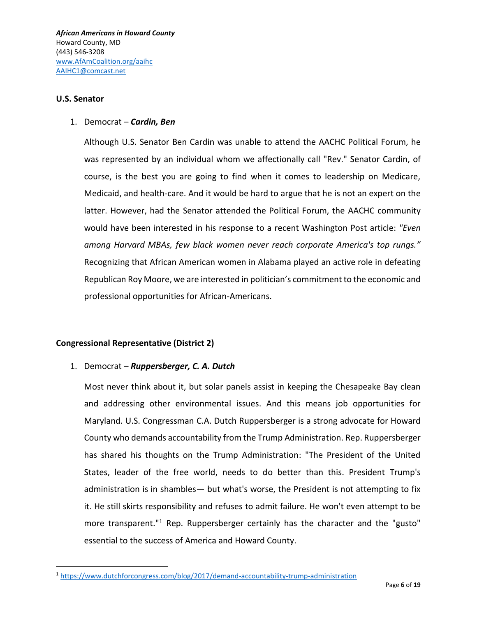## <span id="page-5-0"></span>**U.S. Senator**

 $\overline{\phantom{a}}$ 

## 1. Democrat – *Cardin, Ben*

Although U.S. Senator Ben Cardin was unable to attend the AACHC Political Forum, he was represented by an individual whom we affectionally call "Rev." Senator Cardin, of course, is the best you are going to find when it comes to leadership on Medicare, Medicaid, and health-care. And it would be hard to argue that he is not an expert on the latter. However, had the Senator attended the Political Forum, the AACHC community would have been interested in his response to a recent Washington Post article: *"Even among Harvard MBAs, few black women never reach corporate America's top rungs."* Recognizing that African American women in Alabama played an active role in defeating Republican Roy Moore, we are interested in politician's commitment to the economic and professional opportunities for African-Americans.

## <span id="page-5-1"></span>**Congressional Representative (District 2)**

## 1. Democrat – *Ruppersberger, C. A. Dutch*

Most never think about it, but solar panels assist in keeping the Chesapeake Bay clean and addressing other environmental issues. And this means job opportunities for Maryland. U.S. Congressman C.A. Dutch Ruppersberger is a strong advocate for Howard County who demands accountability from the Trump Administration. Rep. Ruppersberger has shared his thoughts on the Trump Administration: "The President of the United States, leader of the free world, needs to do better than this. President Trump's administration is in shambles— but what's worse, the President is not attempting to fix it. He still skirts responsibility and refuses to admit failure. He won't even attempt to be more transparent."<sup>1</sup> Rep. Ruppersberger certainly has the character and the "gusto" essential to the success of America and Howard County.

<sup>1</sup> <https://www.dutchforcongress.com/blog/2017/demand-accountability-trump-administration>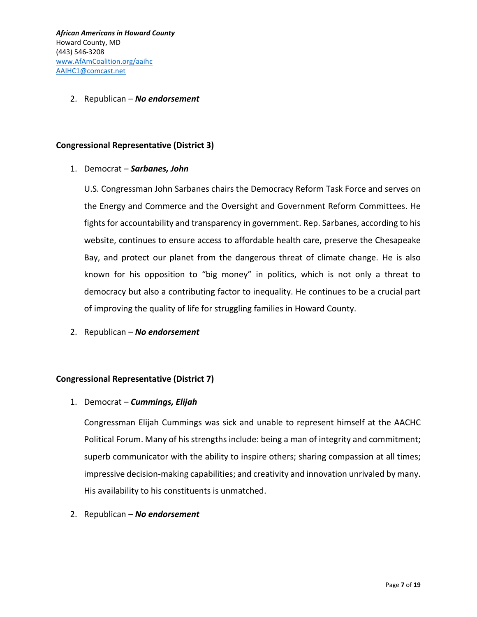## 2. Republican – *No endorsement*

## <span id="page-6-0"></span>**Congressional Representative (District 3)**

## 1. Democrat – *Sarbanes, John*

U.S. Congressman John Sarbanes chairs the Democracy Reform Task Force and serves on the Energy and Commerce and the Oversight and Government Reform Committees. He fights for accountability and transparency in government. Rep. Sarbanes, according to his website, continues to ensure access to affordable health care, preserve the Chesapeake Bay, and protect our planet from the dangerous threat of climate change. He is also known for his opposition to "big money" in politics, which is not only a threat to democracy but also a contributing factor to inequality. He continues to be a crucial part of improving the quality of life for struggling families in Howard County.

2. Republican – *No endorsement*

## <span id="page-6-1"></span>**Congressional Representative (District 7)**

## 1. Democrat – *Cummings, Elijah*

Congressman Elijah Cummings was sick and unable to represent himself at the AACHC Political Forum. Many of his strengths include: being a man of integrity and commitment; superb communicator with the ability to inspire others; sharing compassion at all times; impressive decision-making capabilities; and creativity and innovation unrivaled by many. His availability to his constituents is unmatched.

2. Republican – *No endorsement*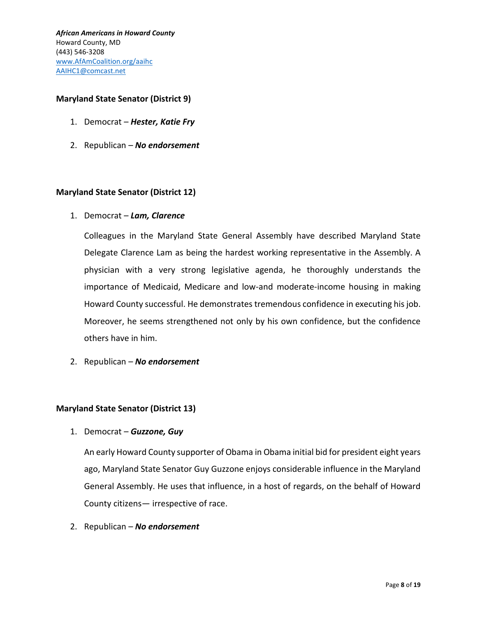## <span id="page-7-0"></span>**Maryland State Senator (District 9)**

- 1. Democrat *Hester, Katie Fry*
- 2. Republican *No endorsement*

## <span id="page-7-1"></span>**Maryland State Senator (District 12)**

1. Democrat – *Lam, Clarence*

Colleagues in the Maryland State General Assembly have described Maryland State Delegate Clarence Lam as being the hardest working representative in the Assembly. A physician with a very strong legislative agenda, he thoroughly understands the importance of Medicaid, Medicare and low-and moderate-income housing in making Howard County successful. He demonstrates tremendous confidence in executing his job. Moreover, he seems strengthened not only by his own confidence, but the confidence others have in him.

2. Republican – *No endorsement*

## <span id="page-7-2"></span>**Maryland State Senator (District 13)**

## 1. Democrat – *Guzzone, Guy*

An early Howard County supporter of Obama in Obama initial bid for president eight years ago, Maryland State Senator Guy Guzzone enjoys considerable influence in the Maryland General Assembly. He uses that influence, in a host of regards, on the behalf of Howard County citizens— irrespective of race.

2. Republican – *No endorsement*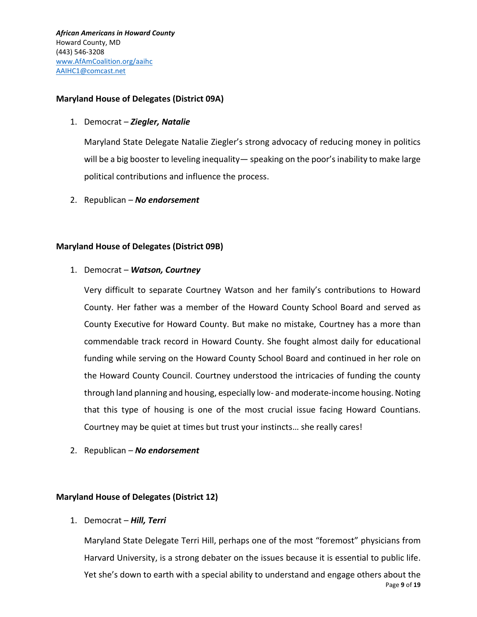## <span id="page-8-0"></span>**Maryland House of Delegates (District 09A)**

1. Democrat – *Ziegler, Natalie*

Maryland State Delegate Natalie Ziegler's strong advocacy of reducing money in politics will be a big booster to leveling inequality— speaking on the poor's inability to make large political contributions and influence the process.

2. Republican – *No endorsement*

## <span id="page-8-1"></span>**Maryland House of Delegates (District 09B)**

1. Democrat – *Watson, Courtney*

Very difficult to separate Courtney Watson and her family's contributions to Howard County. Her father was a member of the Howard County School Board and served as County Executive for Howard County. But make no mistake, Courtney has a more than commendable track record in Howard County. She fought almost daily for educational funding while serving on the Howard County School Board and continued in her role on the Howard County Council. Courtney understood the intricacies of funding the county through land planning and housing, especially low- and moderate-income housing. Noting that this type of housing is one of the most crucial issue facing Howard Countians. Courtney may be quiet at times but trust your instincts… she really cares!

2. Republican – *No endorsement*

## <span id="page-8-2"></span>**Maryland House of Delegates (District 12)**

1. Democrat – *Hill, Terri*

Page **9** of **19** Maryland State Delegate Terri Hill, perhaps one of the most "foremost" physicians from Harvard University, is a strong debater on the issues because it is essential to public life. Yet she's down to earth with a special ability to understand and engage others about the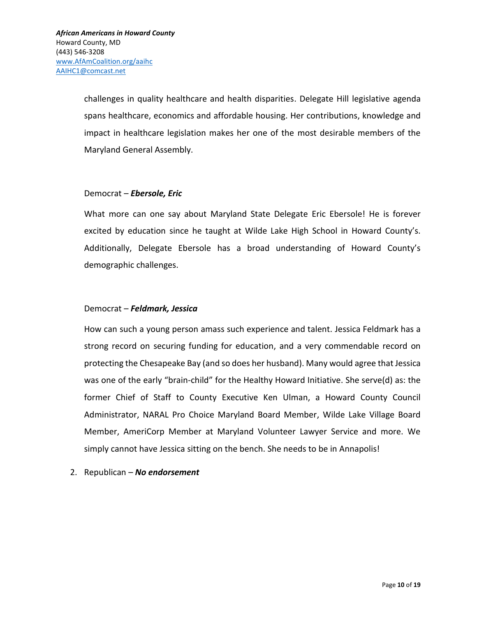challenges in quality healthcare and health disparities. Delegate Hill legislative agenda spans healthcare, economics and affordable housing. Her contributions, knowledge and impact in healthcare legislation makes her one of the most desirable members of the Maryland General Assembly.

## Democrat – *Ebersole, Eric*

What more can one say about Maryland State Delegate Eric Ebersole! He is forever excited by education since he taught at Wilde Lake High School in Howard County's. Additionally, Delegate Ebersole has a broad understanding of Howard County's demographic challenges.

## Democrat – *Feldmark, Jessica*

How can such a young person amass such experience and talent. Jessica Feldmark has a strong record on securing funding for education, and a very commendable record on protecting the Chesapeake Bay (and so does her husband). Many would agree that Jessica was one of the early "brain-child" for the Healthy Howard Initiative. She serve(d) as: the former Chief of Staff to County Executive Ken Ulman, a Howard County Council Administrator, NARAL Pro Choice Maryland Board Member, Wilde Lake Village Board Member, AmeriCorp Member at Maryland Volunteer Lawyer Service and more. We simply cannot have Jessica sitting on the bench. She needs to be in Annapolis!

2. Republican – *No endorsement*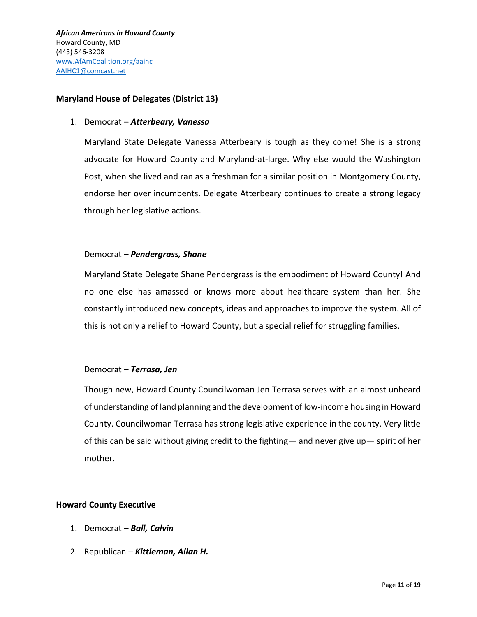## <span id="page-10-0"></span>**Maryland House of Delegates (District 13)**

#### 1. Democrat – *Atterbeary, Vanessa*

Maryland State Delegate Vanessa Atterbeary is tough as they come! She is a strong advocate for Howard County and Maryland-at-large. Why else would the Washington Post, when she lived and ran as a freshman for a similar position in Montgomery County, endorse her over incumbents. Delegate Atterbeary continues to create a strong legacy through her legislative actions.

## Democrat – *Pendergrass, Shane*

Maryland State Delegate Shane Pendergrass is the embodiment of Howard County! And no one else has amassed or knows more about healthcare system than her. She constantly introduced new concepts, ideas and approaches to improve the system. All of this is not only a relief to Howard County, but a special relief for struggling families.

## Democrat – *Terrasa, Jen*

Though new, Howard County Councilwoman Jen Terrasa serves with an almost unheard of understanding of land planning and the development of low-income housing in Howard County. Councilwoman Terrasa has strong legislative experience in the county. Very little of this can be said without giving credit to the fighting— and never give up— spirit of her mother.

#### <span id="page-10-1"></span>**Howard County Executive**

- 1. Democrat *Ball, Calvin*
- 2. Republican *Kittleman, Allan H.*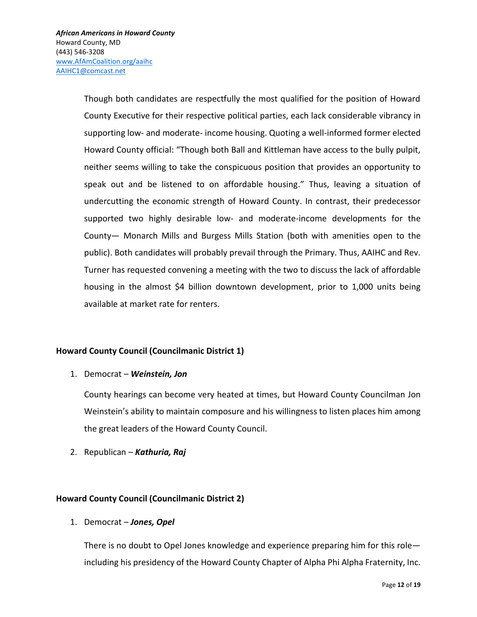Though both candidates are respectfully the most qualified for the position of Howard County Executive for their respective political parties, each lack considerable vibrancy in supporting low- and moderate- income housing. Quoting a well-informed former elected Howard County official: "Though both Ball and Kittleman have access to the bully pulpit, neither seems willing to take the conspicuous position that provides an opportunity to speak out and be listened to on affordable housing." Thus, leaving a situation of undercutting the economic strength of Howard County. In contrast, their predecessor supported two highly desirable low- and moderate-income developments for the County— Monarch Mills and Burgess Mills Station (both with amenities open to the public). Both candidates will probably prevail through the Primary. Thus, AAIHC and Rev. Turner has requested convening a meeting with the two to discuss the lack of affordable housing in the almost \$4 billion downtown development, prior to 1,000 units being available at market rate for renters.

## <span id="page-11-0"></span>**Howard County Council (Councilmanic District 1)**

## 1. Democrat – *Weinstein, Jon*

County hearings can become very heated at times, but Howard County Councilman Jon Weinstein's ability to maintain composure and his willingness to listen places him among the great leaders of the Howard County Council.

2. Republican – *Kathuria, Raj*

## <span id="page-11-1"></span>**Howard County Council (Councilmanic District 2)**

1. Democrat – *Jones, Opel*

There is no doubt to Opel Jones knowledge and experience preparing him for this role including his presidency of the Howard County Chapter of Alpha Phi Alpha Fraternity, Inc.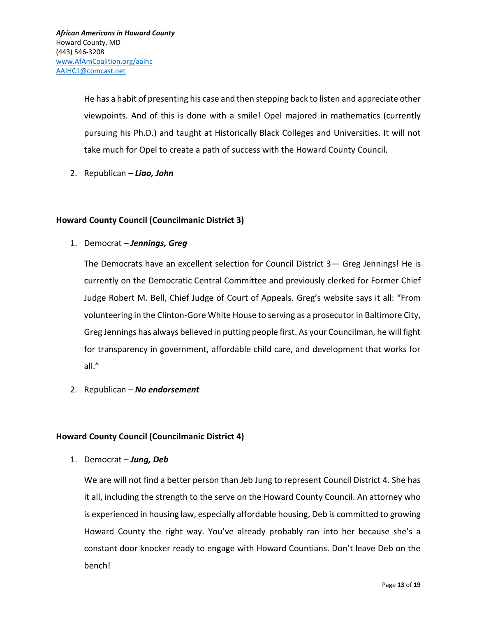He has a habit of presenting his case and then stepping back to listen and appreciate other viewpoints. And of this is done with a smile! Opel majored in mathematics (currently pursuing his Ph.D.) and taught at Historically Black Colleges and Universities. It will not take much for Opel to create a path of success with the Howard County Council.

2. Republican – *Liao, John*

# <span id="page-12-0"></span>**Howard County Council (Councilmanic District 3)**

1. Democrat – *Jennings, Greg*

The Democrats have an excellent selection for Council District 3— Greg Jennings! He is currently on the Democratic Central Committee and previously clerked for Former Chief Judge Robert M. Bell, Chief Judge of Court of Appeals. Greg's website says it all: "From volunteering in the Clinton-Gore White House to serving as a prosecutor in Baltimore City, Greg Jennings has always believed in putting people first. As your Councilman, he will fight for transparency in government, affordable child care, and development that works for all."

2. Republican – *No endorsement*

## <span id="page-12-1"></span>**Howard County Council (Councilmanic District 4)**

1. Democrat – *Jung, Deb*

We are will not find a better person than Jeb Jung to represent Council District 4. She has it all, including the strength to the serve on the Howard County Council. An attorney who is experienced in housing law, especially affordable housing, Deb is committed to growing Howard County the right way. You've already probably ran into her because she's a constant door knocker ready to engage with Howard Countians. Don't leave Deb on the bench!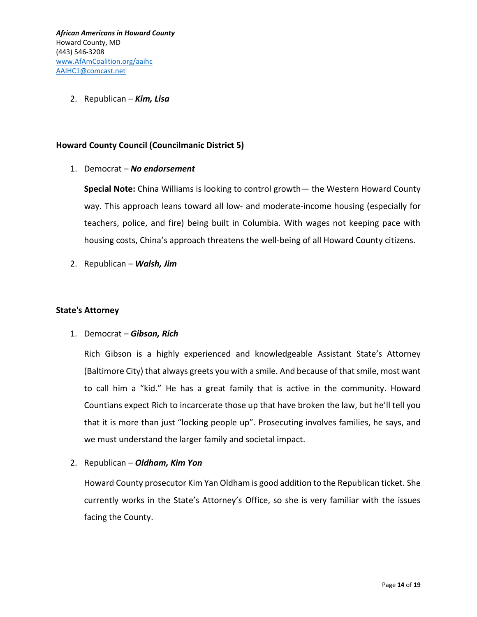2. Republican – *Kim, Lisa*

## <span id="page-13-0"></span>**Howard County Council (Councilmanic District 5)**

## 1. Democrat – *No endorsement*

**Special Note:** China Williams is looking to control growth— the Western Howard County way. This approach leans toward all low- and moderate-income housing (especially for teachers, police, and fire) being built in Columbia. With wages not keeping pace with housing costs, China's approach threatens the well-being of all Howard County citizens.

2. Republican – *Walsh, Jim*

## <span id="page-13-1"></span>**State's Attorney**

## 1. Democrat – *Gibson, Rich*

Rich Gibson is a highly experienced and knowledgeable Assistant State's Attorney (Baltimore City) that always greets you with a smile. And because of that smile, most want to call him a "kid." He has a great family that is active in the community. Howard Countians expect Rich to incarcerate those up that have broken the law, but he'll tell you that it is more than just "locking people up". Prosecuting involves families, he says, and we must understand the larger family and societal impact.

2. Republican – *Oldham, Kim Yon*

Howard County prosecutor Kim Yan Oldham is good addition to the Republican ticket. She currently works in the State's Attorney's Office, so she is very familiar with the issues facing the County.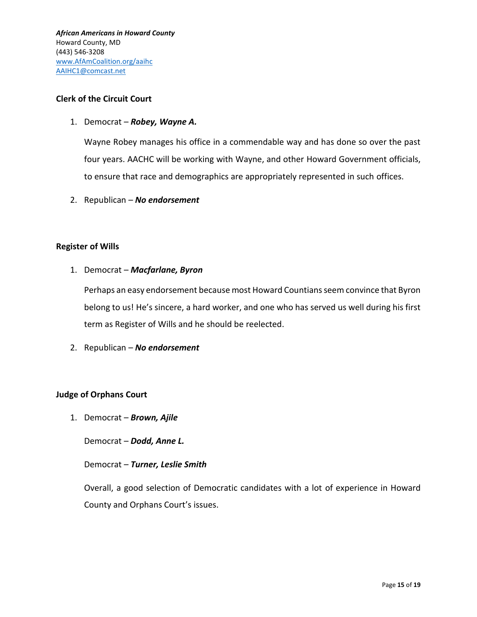## <span id="page-14-0"></span>**Clerk of the Circuit Court**

1. Democrat – *Robey, Wayne A.*

Wayne Robey manages his office in a commendable way and has done so over the past four years. AACHC will be working with Wayne, and other Howard Government officials, to ensure that race and demographics are appropriately represented in such offices.

2. Republican – *No endorsement*

## <span id="page-14-1"></span>**Register of Wills**

1. Democrat – *Macfarlane, Byron*

Perhaps an easy endorsement because most Howard Countians seem convince that Byron belong to us! He's sincere, a hard worker, and one who has served us well during his first term as Register of Wills and he should be reelected.

2. Republican – *No endorsement*

## <span id="page-14-2"></span>**Judge of Orphans Court**

1. Democrat – *Brown, Ajile*

Democrat – *Dodd, Anne L.*

## Democrat – *Turner, Leslie Smith*

Overall, a good selection of Democratic candidates with a lot of experience in Howard County and Orphans Court's issues.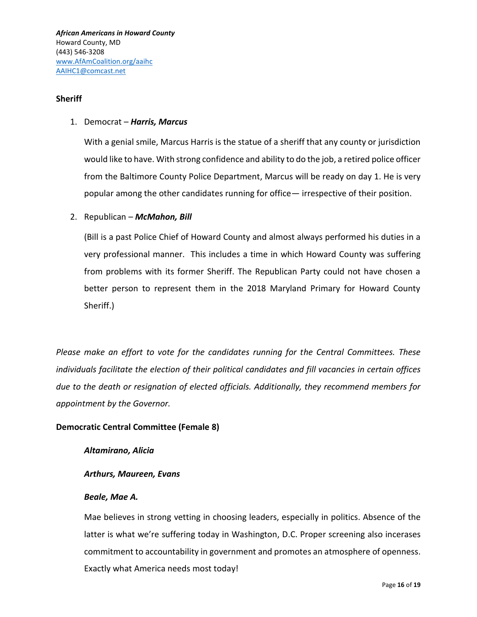## <span id="page-15-0"></span>**Sheriff**

## 1. Democrat – *Harris, Marcus*

With a genial smile, Marcus Harris is the statue of a sheriff that any county or jurisdiction would like to have. With strong confidence and ability to do the job, a retired police officer from the Baltimore County Police Department, Marcus will be ready on day 1. He is very popular among the other candidates running for office— irrespective of their position.

2. Republican – *McMahon, Bill*

(Bill is a past Police Chief of Howard County and almost always performed his duties in a very professional manner. This includes a time in which Howard County was suffering from problems with its former Sheriff. The Republican Party could not have chosen a better person to represent them in the 2018 Maryland Primary for Howard County Sheriff.)

*Please make an effort to vote for the candidates running for the Central Committees. These individuals facilitate the election of their political candidates and fill vacancies in certain offices due to the death or resignation of elected officials. Additionally, they recommend members for appointment by the Governor.*

## <span id="page-15-1"></span>**Democratic Central Committee (Female 8)**

*Altamirano, Alicia*

## *Arthurs, Maureen, Evans*

## *Beale, Mae A.*

Mae believes in strong vetting in choosing leaders, especially in politics. Absence of the latter is what we're suffering today in Washington, D.C. Proper screening also incerases commitment to accountability in government and promotes an atmosphere of openness. Exactly what America needs most today!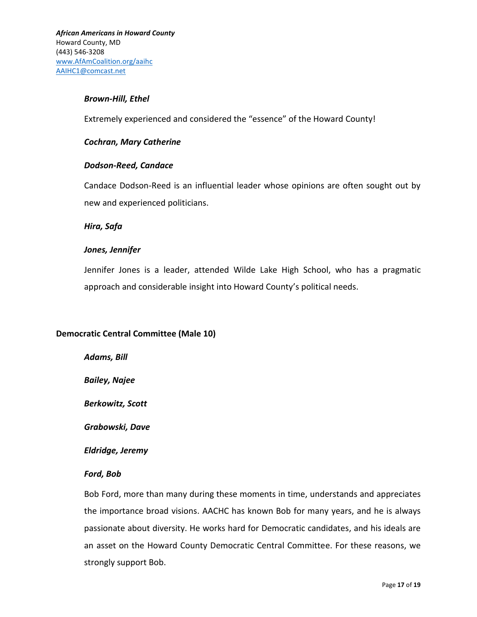#### *Brown-Hill, Ethel*

Extremely experienced and considered the "essence" of the Howard County!

#### *Cochran, Mary Catherine*

## *Dodson-Reed, Candace*

Candace Dodson-Reed is an influential leader whose opinions are often sought out by new and experienced politicians.

#### *Hira, Safa*

## *Jones, Jennifer*

Jennifer Jones is a leader, attended Wilde Lake High School, who has a pragmatic approach and considerable insight into Howard County's political needs.

## <span id="page-16-0"></span>**Democratic Central Committee (Male 10)**

*Adams, Bill*

*Bailey, Najee*

*Berkowitz, Scott*

*Grabowski, Dave*

*Eldridge, Jeremy*

## *Ford, Bob*

Bob Ford, more than many during these moments in time, understands and appreciates the importance broad visions. AACHC has known Bob for many years, and he is always passionate about diversity. He works hard for Democratic candidates, and his ideals are an asset on the Howard County Democratic Central Committee. For these reasons, we strongly support Bob.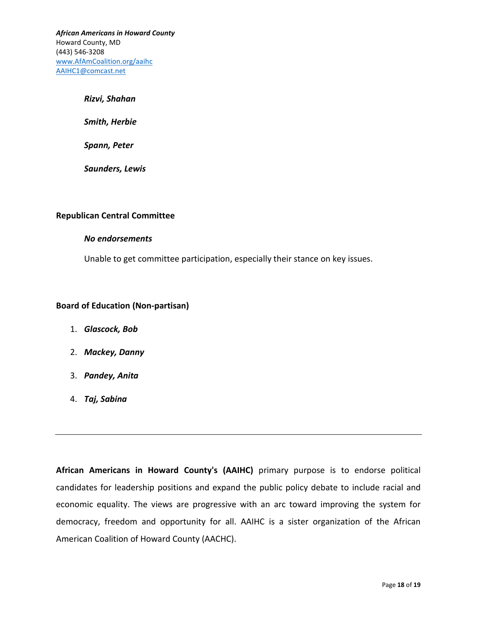#### *Rizvi, Shahan*

*Smith, Herbie*

*Spann, Peter*

*Saunders, Lewis*

#### <span id="page-17-0"></span>**Republican Central Committee**

#### *No endorsements*

Unable to get committee participation, especially their stance on key issues.

## <span id="page-17-1"></span>**Board of Education (Non-partisan)**

- 1. *Glascock, Bob*
- 2. *Mackey, Danny*
- 3. *Pandey, Anita*
- 4. *Taj, Sabina*

**African Americans in Howard County's (AAIHC)** primary purpose is to endorse political candidates for leadership positions and expand the public policy debate to include racial and economic equality. The views are progressive with an arc toward improving the system for democracy, freedom and opportunity for all. AAIHC is a sister organization of the African American Coalition of Howard County (AACHC).